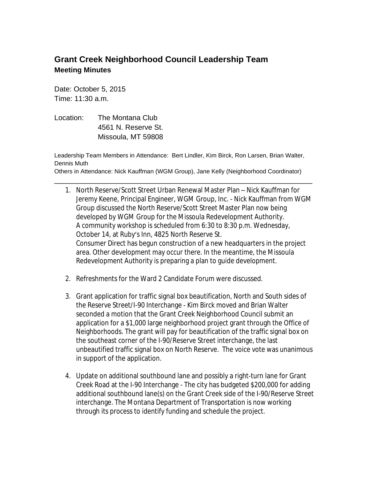## **Grant Creek Neighborhood Council Leadership Team Meeting Minutes**

Date: October 5, 2015 Time: 11:30 a.m.

Location: The Montana Club 4561 N. Reserve St. Missoula, MT 59808

Leadership Team Members in Attendance: Bert Lindler, Kim Birck, Ron Larsen, Brian Walter, Dennis Muth

Others in Attendance: Nick Kauffman (WGM Group), Jane Kelly (Neighborhood Coordinator)

\_\_\_\_\_\_\_\_\_\_\_\_\_\_\_\_\_\_\_\_\_\_\_\_\_\_\_\_\_\_\_\_\_\_\_\_\_\_\_\_\_\_\_\_\_\_\_\_\_\_\_\_\_\_\_\_\_\_\_\_\_\_\_\_

- 1. North Reserve/Scott Street Urban Renewal Master Plan Nick Kauffman for Jeremy Keene, Principal Engineer, WGM Group, Inc. - Nick Kauffman from WGM Group discussed the North Reserve/Scott Street Master Plan now being developed by WGM Group for the Missoula Redevelopment Authority. A community workshop is scheduled from 6:30 to 8:30 p.m. Wednesday, October 14, at Ruby's Inn, 4825 North Reserve St. Consumer Direct has begun construction of a new headquarters in the project area. Other development may occur there. In the meantime, the Missoula Redevelopment Authority is preparing a plan to guide development.
- 2. Refreshments for the Ward 2 Candidate Forum were discussed.
- 3. Grant application for traffic signal box beautification, North and South sides of the Reserve Street/I-90 Interchange - Kim Birck moved and Brian Walter seconded a motion that the Grant Creek Neighborhood Council submit an application for a \$1,000 large neighborhood project grant through the Office of Neighborhoods. The grant will pay for beautification of the traffic signal box on the southeast corner of the I-90/Reserve Street interchange, the last unbeautified traffic signal box on North Reserve. The voice vote was unanimous in support of the application.
- 4. Update on additional southbound lane and possibly a right-turn lane for Grant Creek Road at the I-90 Interchange - The city has budgeted \$200,000 for adding additional southbound lane(s) on the Grant Creek side of the I-90/Reserve Street interchange. The Montana Department of Transportation is now working through its process to identify funding and schedule the project.